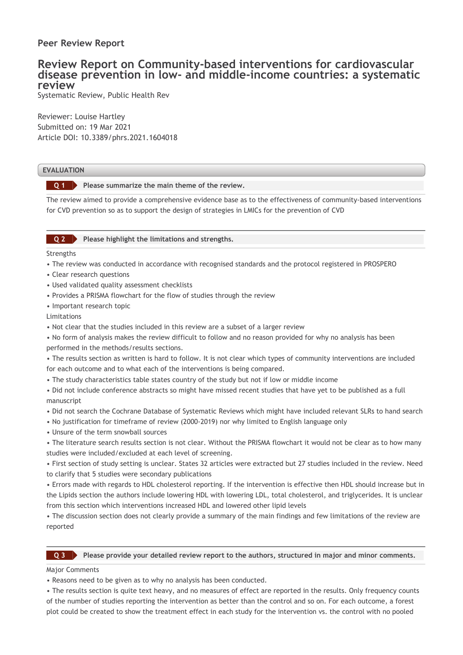## **Peer Review Report**

# **Review Report on Community-based interventions for cardiovascular disease prevention in low- and middle-income countries: a systematic review**

Systematic Review, Public Health Rev

Reviewer: Louise Hartley Submitted on: 19 Mar 2021 Article DOI: 10.3389/phrs.2021.1604018

### **EVALUATION**

**Please summarize the main theme of the review. Q 1**

The review aimed to provide a comprehensive evidence base as to the effectiveness of community-based interventions for CVD prevention so as to support the design of strategies in LMICs for the prevention of CVD

#### **Please highlight the limitations and strengths. Q 2**

Strengths

- The review was conducted in accordance with recognised standards and the protocol registered in PROSPERO
- Clear research questions
- Used validated quality assessment checklists
- Provides a PRISMA flowchart for the flow of studies through the review
- Important research topic

Limitations

- Not clear that the studies included in this review are a subset of a larger review
- No form of analysis makes the review difficult to follow and no reason provided for why no analysis has been performed in the methods/results sections.
- The results section as written is hard to follow. It is not clear which types of community interventions are included for each outcome and to what each of the interventions is being compared.
- The study characteristics table states country of the study but not if low or middle income

• Did not include conference abstracts so might have missed recent studies that have yet to be published as a full manuscript

- Did not search the Cochrane Database of Systematic Reviews which might have included relevant SLRs to hand search
- No justification for timeframe of review (2000-2019) nor why limited to English language only
- Unsure of the term snowball sources
- The literature search results section is not clear. Without the PRISMA flowchart it would not be clear as to how many studies were included/excluded at each level of screening.

• First section of study setting is unclear. States 32 articles were extracted but 27 studies included in the review. Need to clarify that 5 studies were secondary publications

• Errors made with regards to HDL cholesterol reporting. If the intervention is effective then HDL should increase but in the Lipids section the authors include lowering HDL with lowering LDL, total cholesterol, and triglycerides. It is unclear from this section which interventions increased HDL and lowered other lipid levels

• The discussion section does not clearly provide a summary of the main findings and few limitations of the review are reported

**Please provide your detailed review report to the authors, structured in major and minor comments. Q 3**

Major Comments

• Reasons need to be given as to why no analysis has been conducted.

• The results section is quite text heavy, and no measures of effect are reported in the results. Only frequency counts of the number of studies reporting the intervention as better than the control and so on. For each outcome, a forest plot could be created to show the treatment effect in each study for the intervention vs. the control with no pooled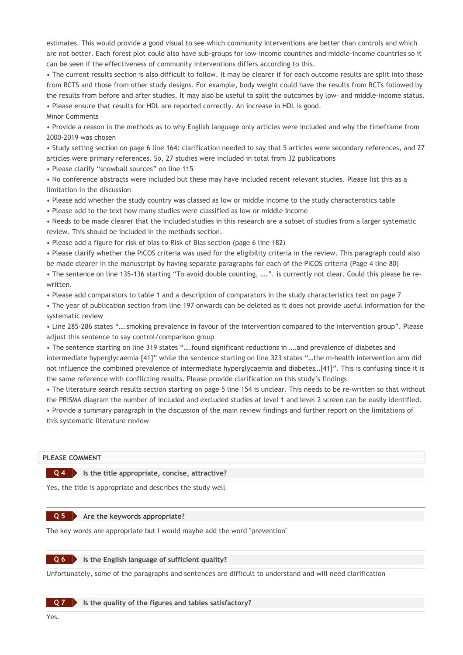estimates. This would provide a good visual to see which community interventions are better than controls and which are not better. Each forest plot could also have sub-groups for low-income countries and middle-income countries so it can be seen if the effectiveness of community interventions differs according to this.

• The current results section is also difficult to follow. It may be clearer if for each outcome results are split into those from RCTS and those from other study designs. For example, body weight could have the results from RCTs followed by the results from before and after studies. It may also be useful to split the outcomes by low- and middle-income status. • Please ensure that results for HDL are reported correctly. An increase in HDL is good.

Minor Comments

• Provide a reason in the methods as to why English language only articles were included and why the timeframe from 2000-2019 was chosen

• Study setting section on page 6 line 164: clarification needed to say that 5 articles were secondary references, and 27 articles were primary references. So, 27 studies were included in total from 32 publications

• Please clarify "snowball sources" on line 115

• No conference abstracts were included but these may have included recent relevant studies. Please list this as a limitation in the discussion

• Please add whether the study country was classed as low or middle income to the study characteristics table

• Please add to the text how many studies were classified as low or middle income

• Needs to be made clearer that the included studies in this research are a subset of studies from a larger systematic review. This should be included in the methods section.

• Please add a figure for risk of bias to Risk of Bias section (page 6 line 182)

• Please clarify whether the PICOS criteria was used for the eligibility criteria in the review. This paragraph could also be made clearer in the manuscript by having separate paragraphs for each of the PICOS criteria (Page 4 line 80)

• The sentence on line 135-136 starting "To avoid double counting, ….". is currently not clear. Could this please be rewritten.

• Please add comparators to table 1 and a description of comparators in the study characteristics text on page 7

• The year of publication section from line 197 onwards can be deleted as it does not provide useful information for the systematic review

• Line 285-286 states "….smoking prevalence in favour of the intervention compared to the intervention group". Please adjust this sentence to say control/comparison group

• The sentence starting on line 319 states "….found significant reductions in ….and prevalence of diabetes and intermediate hyperglycaemia [41]" while the sentence starting on line 323 states "…the m-health intervention arm did not influence the combined prevalence of intermediate hyperglycaemia and diabetes…[41]". This is confusing since it is the same reference with conflicting results. Please provide clarification on this study's findings

• The literature search results section starting on page 5 line 154 is unclear. This needs to be re-written so that without the PRISMA diagram the number of included and excluded studies at level 1 and level 2 screen can be easily identified.

• Provide a summary paragraph in the discussion of the main review findings and further report on the limitations of this systematic literature review

### **PLEASE COMMENT**

### **Is the title appropriate, concise, attractive? Q 4**

Yes, the title is appropriate and describes the study well

#### **Are the keywords appropriate? Q 5**

The key words are appropriate but I would maybe add the word "prevention"

**Is the English language of sufficient quality? Q 6**

Unfortunately, some of the paragraphs and sentences are difficult to understand and will need clarification

**Is the quality of the figures and tables satisfactory?**

**Q 7**